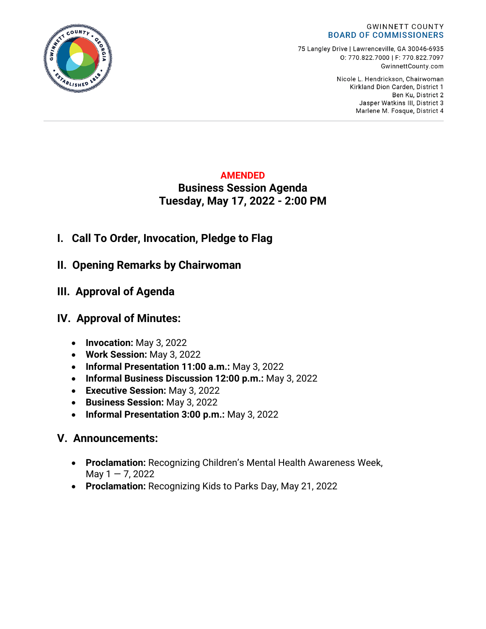

75 Langley Drive | Lawrenceville, GA 30046-6935 0:770.822.7000 | F: 770.822.7097 GwinnettCounty.com

> Nicole L. Hendrickson, Chairwoman Kirkland Dion Carden, District 1 Ben Ku. District 2 Jasper Watkins III, District 3 Marlene M. Fosque, District 4

## **AMENDED**

# **Business Session Agenda Tuesday, May 17, 2022 - 2:00 PM**

- **I. Call To Order, Invocation, Pledge to Flag**
- **II. Opening Remarks by Chairwoman**
- **III. Approval of Agenda**

# **IV. Approval of Minutes:**

- **Invocation:** May 3, 2022
- **Work Session:** May 3, 2022
- **Informal Presentation 11:00 a.m.:** May 3, 2022
- **Informal Business Discussion 12:00 p.m.:** May 3, 2022
- **Executive Session:** May 3, 2022
- **Business Session:** May 3, 2022
- **Informal Presentation 3:00 p.m.:** May 3, 2022

# **V. Announcements:**

- **Proclamation:** Recognizing Children's Mental Health Awareness Week, May  $1 - 7$ , 2022
- **Proclamation:** Recognizing Kids to Parks Day, May 21, 2022

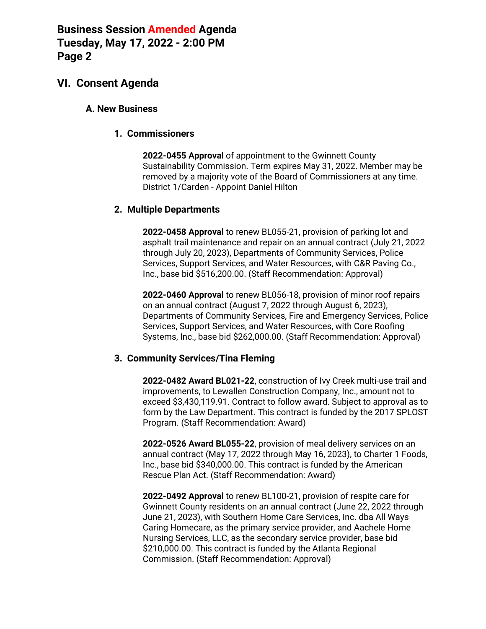# **VI. Consent Agenda**

### **A. New Business**

#### **1. Commissioners**

**2022-0455 Approval** of appointment to the Gwinnett County Sustainability Commission. Term expires May 31, 2022. Member may be removed by a majority vote of the Board of Commissioners at any time. District 1/Carden - Appoint Daniel Hilton

#### **2. Multiple Departments**

**2022-0458 Approval** to renew BL055-21, provision of parking lot and asphalt trail maintenance and repair on an annual contract (July 21, 2022 through July 20, 2023), Departments of Community Services, Police Services, Support Services, and Water Resources, with C&R Paving Co., Inc., base bid \$516,200.00. (Staff Recommendation: Approval)

**2022-0460 Approval** to renew BL056-18, provision of minor roof repairs on an annual contract (August 7, 2022 through August 6, 2023), Departments of Community Services, Fire and Emergency Services, Police Services, Support Services, and Water Resources, with Core Roofing Systems, Inc., base bid \$262,000.00. (Staff Recommendation: Approval)

### **3. Community Services/Tina Fleming**

**2022-0482 Award BL021-22**, construction of Ivy Creek multi-use trail and improvements, to Lewallen Construction Company, Inc., amount not to exceed \$3,430,119.91. Contract to follow award. Subject to approval as to form by the Law Department. This contract is funded by the 2017 SPLOST Program. (Staff Recommendation: Award)

**2022-0526 Award BL055-22**, provision of meal delivery services on an annual contract (May 17, 2022 through May 16, 2023), to Charter 1 Foods, Inc., base bid \$340,000.00. This contract is funded by the American Rescue Plan Act. (Staff Recommendation: Award)

**2022-0492 Approval** to renew BL100-21, provision of respite care for Gwinnett County residents on an annual contract (June 22, 2022 through June 21, 2023), with Southern Home Care Services, Inc. dba All Ways Caring Homecare, as the primary service provider, and Aachele Home Nursing Services, LLC, as the secondary service provider, base bid \$210,000.00. This contract is funded by the Atlanta Regional Commission. (Staff Recommendation: Approval)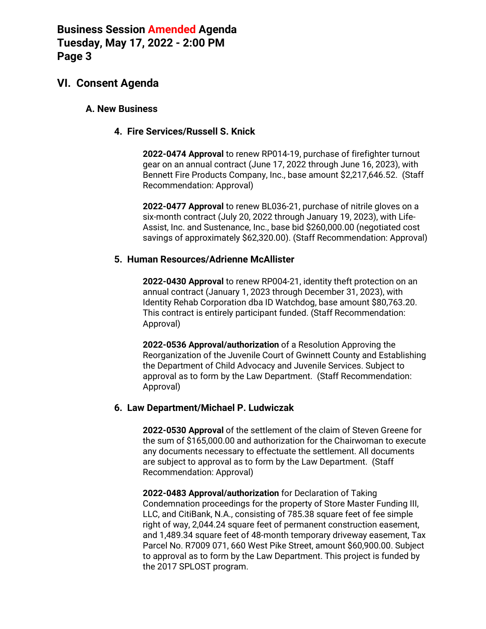# **VI. Consent Agenda**

### **A. New Business**

### **4. Fire Services/Russell S. Knick**

**2022-0474 Approval** to renew RP014-19, purchase of firefighter turnout gear on an annual contract (June 17, 2022 through June 16, 2023), with Bennett Fire Products Company, Inc., base amount \$2,217,646.52. (Staff Recommendation: Approval)

**2022-0477 Approval** to renew BL036-21, purchase of nitrile gloves on a six-month contract (July 20, 2022 through January 19, 2023), with Life-Assist, Inc. and Sustenance, Inc., base bid \$260,000.00 (negotiated cost savings of approximately \$62,320.00). (Staff Recommendation: Approval)

### **5. Human Resources/Adrienne McAllister**

**2022-0430 Approval** to renew RP004-21, identity theft protection on an annual contract (January 1, 2023 through December 31, 2023), with Identity Rehab Corporation dba ID Watchdog, base amount \$80,763.20. This contract is entirely participant funded. (Staff Recommendation: Approval)

**2022-0536 Approval/authorization** of a Resolution Approving the Reorganization of the Juvenile Court of Gwinnett County and Establishing the Department of Child Advocacy and Juvenile Services. Subject to approval as to form by the Law Department. (Staff Recommendation: Approval)

### **6. Law Department/Michael P. Ludwiczak**

**2022-0530 Approval** of the settlement of the claim of Steven Greene for the sum of \$165,000.00 and authorization for the Chairwoman to execute any documents necessary to effectuate the settlement. All documents are subject to approval as to form by the Law Department. (Staff Recommendation: Approval)

**2022-0483 Approval/authorization** for Declaration of Taking Condemnation proceedings for the property of Store Master Funding III, LLC, and CitiBank, N.A., consisting of 785.38 square feet of fee simple right of way, 2,044.24 square feet of permanent construction easement, and 1,489.34 square feet of 48-month temporary driveway easement, Tax Parcel No. R7009 071, 660 West Pike Street, amount \$60,900.00. Subject to approval as to form by the Law Department. This project is funded by the 2017 SPLOST program.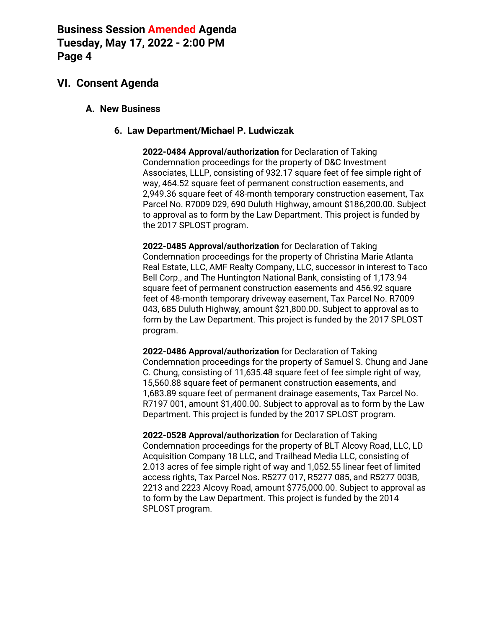# **VI. Consent Agenda**

### **A. New Business**

### **6. Law Department/Michael P. Ludwiczak**

**2022-0484 Approval/authorization** for Declaration of Taking Condemnation proceedings for the property of D&C Investment Associates, LLLP, consisting of 932.17 square feet of fee simple right of way, 464.52 square feet of permanent construction easements, and 2,949.36 square feet of 48-month temporary construction easement, Tax Parcel No. R7009 029, 690 Duluth Highway, amount \$186,200.00. Subject to approval as to form by the Law Department. This project is funded by the 2017 SPLOST program.

**2022-0485 Approval/authorization** for Declaration of Taking Condemnation proceedings for the property of Christina Marie Atlanta Real Estate, LLC, AMF Realty Company, LLC, successor in interest to Taco Bell Corp., and The Huntington National Bank, consisting of 1,173.94 square feet of permanent construction easements and 456.92 square feet of 48-month temporary driveway easement, Tax Parcel No. R7009 043, 685 Duluth Highway, amount \$21,800.00. Subject to approval as to form by the Law Department. This project is funded by the 2017 SPLOST program.

**2022-0486 Approval/authorization** for Declaration of Taking Condemnation proceedings for the property of Samuel S. Chung and Jane C. Chung, consisting of 11,635.48 square feet of fee simple right of way, 15,560.88 square feet of permanent construction easements, and 1,683.89 square feet of permanent drainage easements, Tax Parcel No. R7197 001, amount \$1,400.00. Subject to approval as to form by the Law Department. This project is funded by the 2017 SPLOST program.

**2022-0528 Approval/authorization** for Declaration of Taking Condemnation proceedings for the property of BLT Alcovy Road, LLC, LD Acquisition Company 18 LLC, and Trailhead Media LLC, consisting of 2.013 acres of fee simple right of way and 1,052.55 linear feet of limited access rights, Tax Parcel Nos. R5277 017, R5277 085, and R5277 003B, 2213 and 2223 Alcovy Road, amount \$775,000.00. Subject to approval as to form by the Law Department. This project is funded by the 2014 SPLOST program.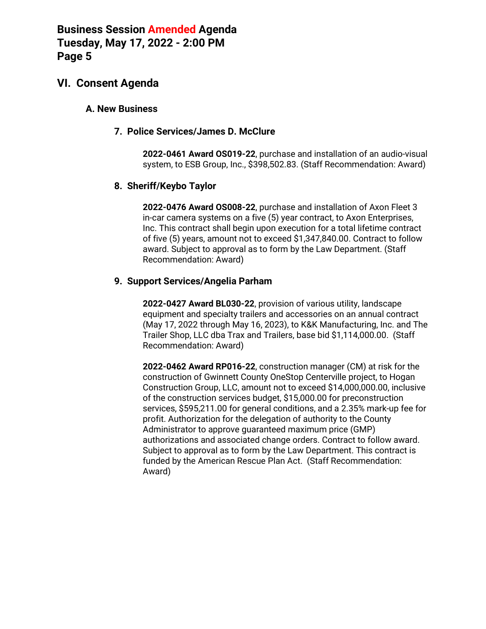## **VI. Consent Agenda**

### **A. New Business**

### **7. Police Services/James D. McClure**

**2022-0461 Award OS019-22**, purchase and installation of an audio-visual system, to ESB Group, Inc., \$398,502.83. (Staff Recommendation: Award)

## **8. Sheriff/Keybo Taylor**

**2022-0476 Award OS008-22**, purchase and installation of Axon Fleet 3 in-car camera systems on a five (5) year contract, to Axon Enterprises, Inc. This contract shall begin upon execution for a total lifetime contract of five (5) years, amount not to exceed \$1,347,840.00. Contract to follow award. Subject to approval as to form by the Law Department. (Staff Recommendation: Award)

## **9. Support Services/Angelia Parham**

**2022-0427 Award BL030-22**, provision of various utility, landscape equipment and specialty trailers and accessories on an annual contract (May 17, 2022 through May 16, 2023), to K&K Manufacturing, Inc. and The Trailer Shop, LLC dba Trax and Trailers, base bid \$1,114,000.00. (Staff Recommendation: Award)

**2022-0462 Award RP016-22**, construction manager (CM) at risk for the construction of Gwinnett County OneStop Centerville project, to Hogan Construction Group, LLC, amount not to exceed \$14,000,000.00, inclusive of the construction services budget, \$15,000.00 for preconstruction services, \$595,211.00 for general conditions, and a 2.35% mark-up fee for profit. Authorization for the delegation of authority to the County Administrator to approve guaranteed maximum price (GMP) authorizations and associated change orders. Contract to follow award. Subject to approval as to form by the Law Department. This contract is funded by the American Rescue Plan Act. (Staff Recommendation: Award)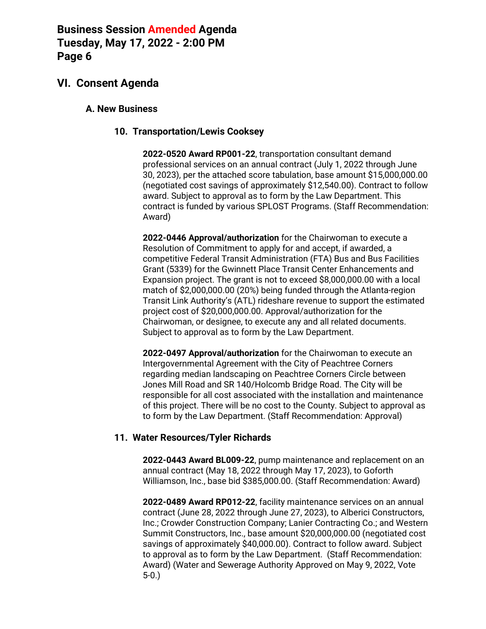# **VI. Consent Agenda**

### **A. New Business**

### **10. Transportation/Lewis Cooksey**

**2022-0520 Award RP001-22**, transportation consultant demand professional services on an annual contract (July 1, 2022 through June 30, 2023), per the attached score tabulation, base amount \$15,000,000.00 (negotiated cost savings of approximately \$12,540.00). Contract to follow award. Subject to approval as to form by the Law Department. This contract is funded by various SPLOST Programs. (Staff Recommendation: Award)

**2022-0446 Approval/authorization** for the Chairwoman to execute a Resolution of Commitment to apply for and accept, if awarded, a competitive Federal Transit Administration (FTA) Bus and Bus Facilities Grant (5339) for the Gwinnett Place Transit Center Enhancements and Expansion project. The grant is not to exceed \$8,000,000.00 with a local match of \$2,000,000.00 (20%) being funded through the Atlanta-region Transit Link Authority's (ATL) rideshare revenue to support the estimated project cost of \$20,000,000.00. Approval/authorization for the Chairwoman, or designee, to execute any and all related documents. Subject to approval as to form by the Law Department.

**2022-0497 Approval/authorization** for the Chairwoman to execute an Intergovernmental Agreement with the City of Peachtree Corners regarding median landscaping on Peachtree Corners Circle between Jones Mill Road and SR 140/Holcomb Bridge Road. The City will be responsible for all cost associated with the installation and maintenance of this project. There will be no cost to the County. Subject to approval as to form by the Law Department. (Staff Recommendation: Approval)

### **11. Water Resources/Tyler Richards**

**2022-0443 Award BL009-22**, pump maintenance and replacement on an annual contract (May 18, 2022 through May 17, 2023), to Goforth Williamson, Inc., base bid \$385,000.00. (Staff Recommendation: Award)

**2022-0489 Award RP012-22**, facility maintenance services on an annual contract (June 28, 2022 through June 27, 2023), to Alberici Constructors, Inc.; Crowder Construction Company; Lanier Contracting Co.; and Western Summit Constructors, Inc., base amount \$20,000,000.00 (negotiated cost savings of approximately \$40,000.00). Contract to follow award. Subject to approval as to form by the Law Department. (Staff Recommendation: Award) (Water and Sewerage Authority Approved on May 9, 2022, Vote 5-0.)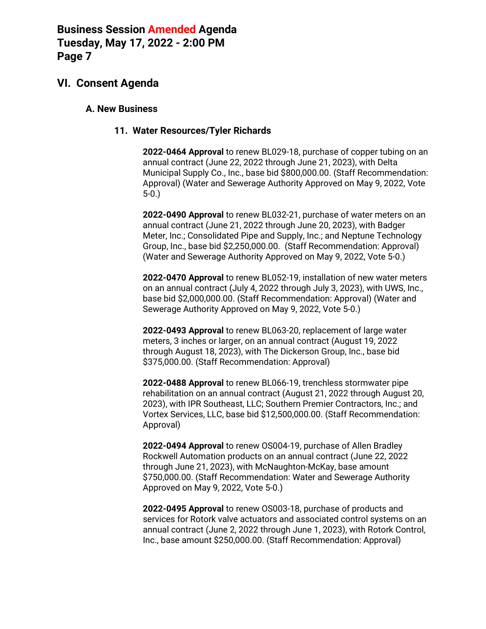# **VI. Consent Agenda**

### **A. New Business**

## **11. Water Resources/Tyler Richards**

**2022-0464 Approval** to renew BL029-18, purchase of copper tubing on an annual contract (June 22, 2022 through June 21, 2023), with Delta Municipal Supply Co., Inc., base bid \$800,000.00. (Staff Recommendation: Approval) (Water and Sewerage Authority Approved on May 9, 2022, Vote 5-0.)

**2022-0490 Approval** to renew BL032-21, purchase of water meters on an annual contract (June 21, 2022 through June 20, 2023), with Badger Meter, Inc.; Consolidated Pipe and Supply, Inc.; and Neptune Technology Group, Inc., base bid \$2,250,000.00. (Staff Recommendation: Approval) (Water and Sewerage Authority Approved on May 9, 2022, Vote 5-0.)

**2022-0470 Approval** to renew BL052-19, installation of new water meters on an annual contract (July 4, 2022 through July 3, 2023), with UWS, Inc., base bid \$2,000,000.00. (Staff Recommendation: Approval) (Water and Sewerage Authority Approved on May 9, 2022, Vote 5-0.)

**2022-0493 Approval** to renew BL063-20, replacement of large water meters, 3 inches or larger, on an annual contract (August 19, 2022 through August 18, 2023), with The Dickerson Group, Inc., base bid \$375,000.00. (Staff Recommendation: Approval)

**2022-0488 Approval** to renew BL066-19, trenchless stormwater pipe rehabilitation on an annual contract (August 21, 2022 through August 20, 2023), with IPR Southeast, LLC; Southern Premier Contractors, Inc.; and Vortex Services, LLC, base bid \$12,500,000.00. (Staff Recommendation: Approval)

**2022-0494 Approval** to renew OS004-19, purchase of Allen Bradley Rockwell Automation products on an annual contract (June 22, 2022 through June 21, 2023), with McNaughton-McKay, base amount \$750,000.00. (Staff Recommendation: Water and Sewerage Authority Approved on May 9, 2022, Vote 5-0.)

**2022-0495 Approval** to renew OS003-18, purchase of products and services for Rotork valve actuators and associated control systems on an annual contract (June 2, 2022 through June 1, 2023), with Rotork Control, Inc., base amount \$250,000.00. (Staff Recommendation: Approval)